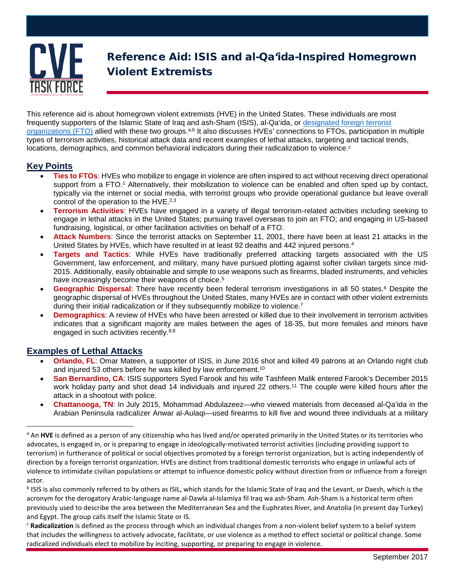

# Reference Aid: ISIS and al-Qa'ida-Inspired Homegrown Violent Extremists

This reference aid is about homegrown violent extremists (HVE) in the United States. These individuals are most frequently supporters of the Islamic State of Iraq and ash-Sham (ISIS), al-Qa'ida, or [designated foreign terrorist](https://www.state.gov/j/ct/rls/other/des/123085.htm)  [organizations \(FTO\)](https://www.state.gov/j/ct/rls/other/des/123085.htm) allied with these two groups.<sup>a,b</sup> It also discusses HVEs' connections to FTOs, participation in multiple types of terrorism activities, historical attack data and recent examples of lethal attacks, targeting and tactical trends, locations, demographics, and common behavioral indicators during their radicalization to violence. $c$ 

## **Key Points**

- **Ties to FTOs**: HVEs who mobilize to engage in violence are often inspired to act without receiving direct operational support from a FTO. <sup>1</sup> Alternatively, their mobilization to violence can be enabled and often sped up by contact, typically via the internet or social media, with terrorist groups who provide operational guidance but leave overall control of the operation to the HVE.<sup>2,3</sup>
- **Terrorism Activities**: HVEs have engaged in a variety of illegal terrorism-related activities including seeking to engage in lethal attacks in the United States; pursuing travel overseas to join an FTO; and engaging in US-based fundraising, logistical, or other facilitation activities on behalf of a FTO.
- **Attack Numbers**: Since the terrorist attacks on September 11, 2001, there have been at least 21 attacks in the United States by HVEs, which have resulted in at least 92 deaths and 442 injured persons.4
- **Targets and Tactics**: While HVEs have traditionally preferred attacking targets associated with the US Government, law enforcement, and military, many have pursued plotting against softer civilian targets since mid-2015. Additionally, easily obtainable and simple to use weapons such as firearms, bladed instruments, and vehicles have increasingly become their weapons of choice.<sup>5</sup>
- **Geographic Dispersal**: There have recently been federal terrorism investigations in all 50 states. <sup>6</sup> Despite the geographic dispersal of HVEs throughout the United States, many HVEs are in contact with other violent extremists during their initial radicalization or if they subsequently mobilize to violence.<sup>7</sup>
- **Demographics**: A review of HVEs who have been arrested or killed due to their involvement in terrorism activities indicates that a significant majority are males between the ages of 18-35, but more females and minors have engaged in such activities recently.8,9

## **Examples of Lethal Attacks**

- **Orlando, FL**: Omar Mateen, a supporter of ISIS, in June 2016 shot and killed 49 patrons at an Orlando night club and injured 53 others before he was killed by law enforcement.<sup>10</sup>
- **San Bernardino, CA**: ISIS supporters Syed Farook and his wife Tashfeen Malik entered Farook's December 2015 work holiday party and shot dead 14 individuals and injured 22 others.<sup>11</sup> The couple were killed hours after the attack in a shootout with police.
- **Chattanooga, TN**: In July 2015, Mohammad Abdulazeez—who viewed materials from deceased al-Qa'ida in the Arabian Peninsula radicalizer Anwar al-Aulaqi—used firearms to kill five and wound three individuals at a military

b ISIS is also commonly referred to by others as ISIL, which stands for the Islamic State of Iraq and the Levant, or Daesh, which is the acronym for the derogatory Arabic-language name al-Dawla al-Islamiya fil Iraq wa ash-Sham. Ash-Sham is a historical term often previously used to describe the area between the Mediterranean Sea and the Euphrates River, and Anatolia (in present day Turkey) and Egypt. The group calls itself the Islamic State or IS.

<sup>c</sup> **Radicalization** is defined as the process through which an individual changes from a non-violent belief system to a belief system that includes the willingness to actively advocate, facilitate, or use violence as a method to effect societal or political change. Some radicalized individuals elect to mobilize by inciting, supporting, or preparing to engage in violence.

<sup>&</sup>lt;sup>a</sup> An HVE is defined as a person of any citizenship who has lived and/or operated primarily in the United States or its territories who advocates, is engaged in, or is preparing to engage in ideologically-motivated terrorist activities (including providing support to terrorism) in furtherance of political or social objectives promoted by a foreign terrorist organization, but is acting independently of direction by a foreign terrorist organization. HVEs are distinct from traditional domestic terrorists who engage in unlawful acts of violence to intimidate civilian populations or attempt to influence domestic policy without direction from or influence from a foreign actor.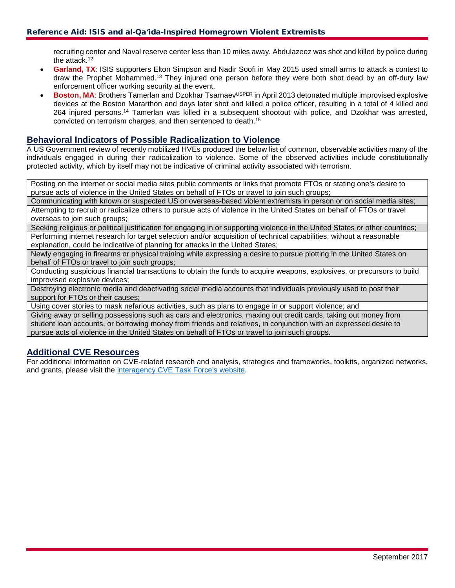recruiting center and Naval reserve center less than 10 miles away. Abdulazeez was shot and killed by police during the attack. 12

- **Garland, TX**: ISIS supporters Elton Simpson and Nadir Soofi in May 2015 used small arms to attack a contest to draw the Prophet Mohammed. <sup>13</sup> They injured one person before they were both shot dead by an off-duty law enforcement officer working security at the event.
- **Boston, MA: Brothers Tamerlan and Dzokhar Tsarnaev<sup>USPER</sup> in April 2013 detonated multiple improvised explosive** devices at the Boston Mararthon and days later shot and killed a police officer, resulting in a total of 4 killed and 264 injured persons.14 Tamerlan was killed in a subsequent shootout with police, and Dzokhar was arrested, convicted on terrorism charges, and then sentenced to death. 15

#### **Behavioral Indicators of Possible Radicalization to Violence**

A US Government review of recently mobilized HVEs produced the below list of common, observable activities many of the individuals engaged in during their radicalization to violence. Some of the observed activities include constitutionally protected activity, which by itself may not be indicative of criminal activity associated with terrorism.

Posting on the internet or social media sites public comments or links that promote FTOs or stating one's desire to pursue acts of violence in the United States on behalf of FTOs or travel to join such groups;

Communicating with known or suspected US or overseas-based violent extremists in person or on social media sites; Attempting to recruit or radicalize others to pursue acts of violence in the United States on behalf of FTOs or travel overseas to join such groups;

Seeking religious or political justification for engaging in or supporting violence in the United States or other countries; Performing internet research for target selection and/or acquisition of technical capabilities, without a reasonable explanation, could be indicative of planning for attacks in the United States;

Newly engaging in firearms or physical training while expressing a desire to pursue plotting in the United States on behalf of FTOs or travel to join such groups:

Conducting suspicious financial transactions to obtain the funds to acquire weapons, explosives, or precursors to build improvised explosive devices;

Destroying electronic media and deactivating social media accounts that individuals previously used to post their support for FTOs or their causes;

Using cover stories to mask nefarious activities, such as plans to engage in or support violence; and

Giving away or selling possessions such as cars and electronics, maxing out credit cards, taking out money from student loan accounts, or borrowing money from friends and relatives, in conjunction with an expressed desire to pursue acts of violence in the United States on behalf of FTOs or travel to join such groups.

### **Additional CVE Resources**

For additional information on CVE-related research and analysis, strategies and frameworks, toolkits, organized networks, and grants, please visit the [interagency CVE Task Force's website.](https://www.dhs.gov/cve/resources)